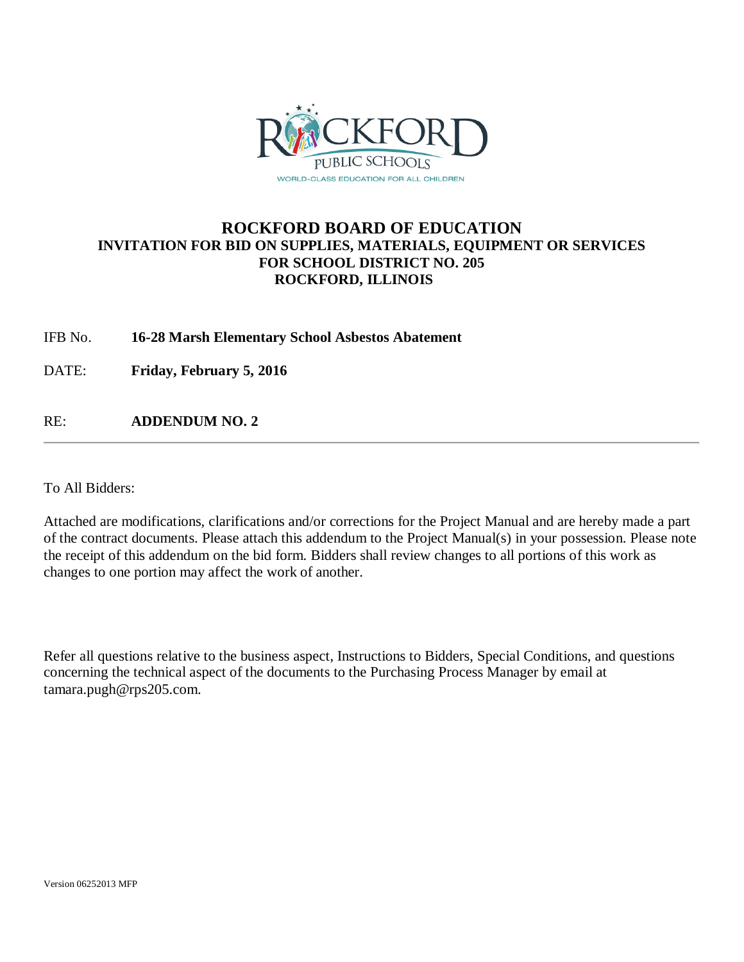

# **ROCKFORD BOARD OF EDUCATION INVITATION FOR BID ON SUPPLIES, MATERIALS, EQUIPMENT OR SERVICES FOR SCHOOL DISTRICT NO. 205 ROCKFORD, ILLINOIS**

IFB No. **16-28 Marsh Elementary School Asbestos Abatement**

DATE: **Friday, February 5, 2016**

RE: **ADDENDUM NO. 2**

To All Bidders:

Attached are modifications, clarifications and/or corrections for the Project Manual and are hereby made a part of the contract documents. Please attach this addendum to the Project Manual(s) in your possession. Please note the receipt of this addendum on the bid form. Bidders shall review changes to all portions of this work as changes to one portion may affect the work of another.

Refer all questions relative to the business aspect, Instructions to Bidders, Special Conditions, and questions concerning the technical aspect of the documents to the Purchasing Process Manager by email at tamara.pugh@rps205.com.